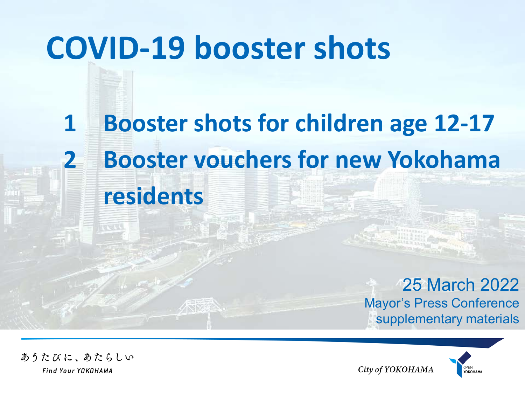## **COVID-19 booster shots**

### **1 Booster shots for children age 12-17 2 Booster vouchers for new Yokohama residents**

25 March 2022 Mayor's Press Conference supplementary materials

City of YOKOHAMA



あうたびに、あたらしい Find Your YOKOHAMA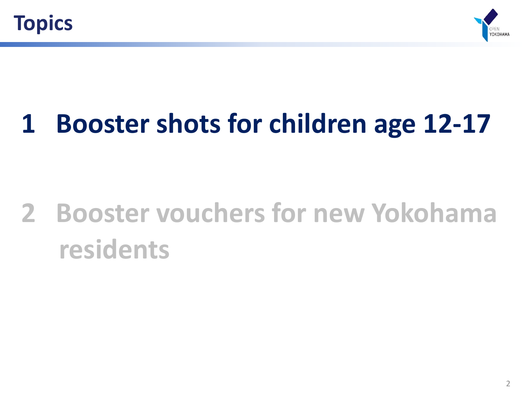



#### **1 Booster shots for children age 12-17**

## **2 Booster vouchers for new Yokohama residents**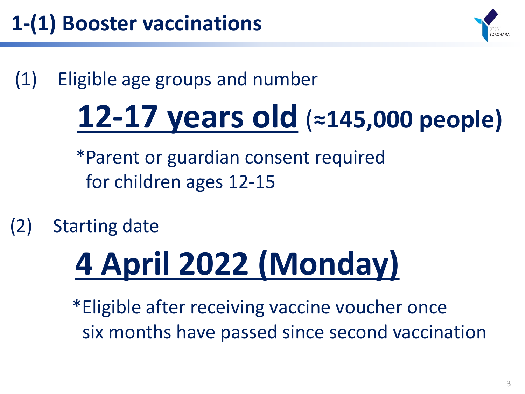

(1) Eligible age groups and number

## **12-17 years old** (**≈145,000 people)**

\*Parent or guardian consent required for children ages 12-15

(2) Starting date

# **4 April 2022 (Monday)**

\*Eligible after receiving vaccine voucher once six months have passed since second vaccination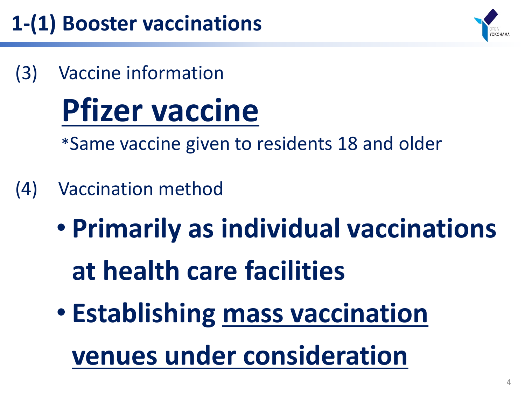#### **1-(1) Booster vaccinations**



(3) Vaccine information

# **Pfizer vaccine**

\*Same vaccine given to residents 18 and older

- (4) Vaccination method
	- **Primarily as individual vaccinations at health care facilities**
	- **Establishing mass vaccination venues under consideration**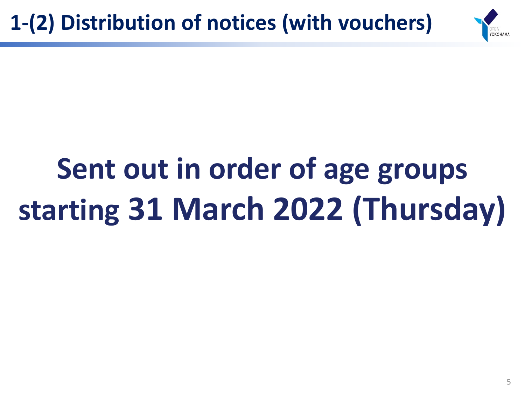

# **Sent out in order of age groups starting 31 March 2022 (Thursday)**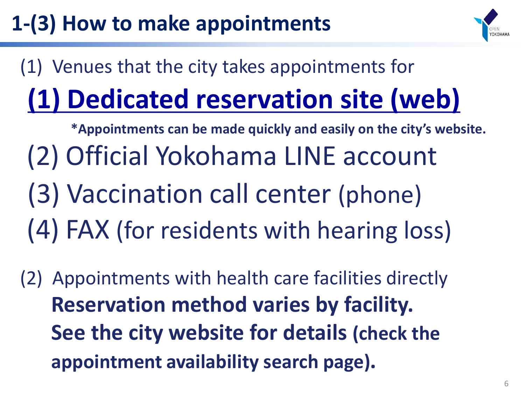#### **1-(3) How to make appointments**



#### (1) Venues that the city takes appointments for **(1) Dedicated reservation site (web)**

- **\*Appointments can be made quickly and easily on the city's website.** (2) Official Yokohama LINE account (3) Vaccination call center (phone) (4) FAX (for residents with hearing loss)
- (2) Appointments with health care facilities directly **Reservation method varies by facility. See the city website for details (check the appointment availability search page).**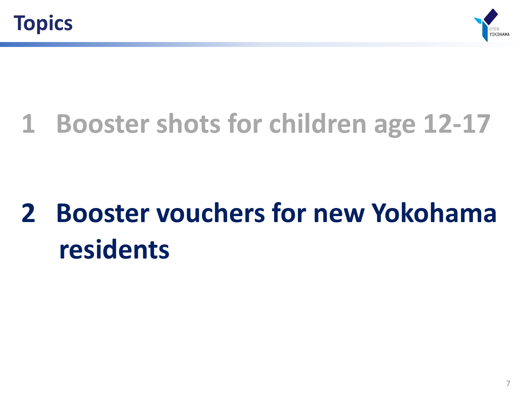



#### **1 Booster shots for children age 12-17**

## **2 Booster vouchers for new Yokohama residents**